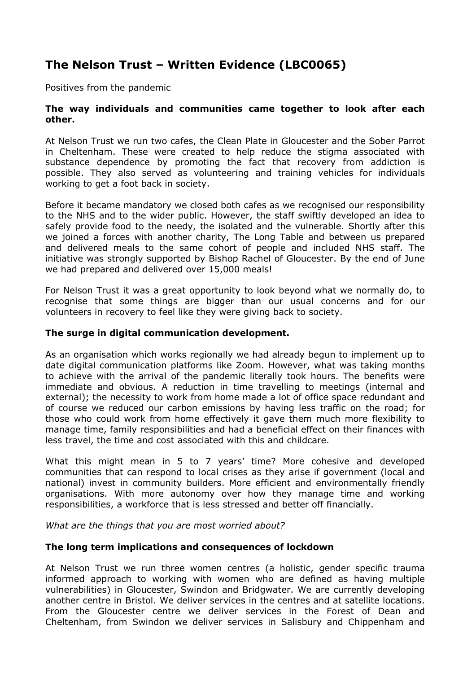# **The Nelson Trust – Written Evidence (LBC0065)**

Positives from the pandemic

## **The way individuals and communities came together to look after each other.**

At Nelson Trust we run two cafes, the Clean Plate in Gloucester and the Sober Parrot in Cheltenham. These were created to help reduce the stigma associated with substance dependence by promoting the fact that recovery from addiction is possible. They also served as volunteering and training vehicles for individuals working to get a foot back in society.

Before it became mandatory we closed both cafes as we recognised our responsibility to the NHS and to the wider public. However, the staff swiftly developed an idea to safely provide food to the needy, the isolated and the vulnerable. Shortly after this we joined a forces with another charity, The Long Table and between us prepared and delivered meals to the same cohort of people and included NHS staff. The initiative was strongly supported by Bishop Rachel of Gloucester. By the end of June we had prepared and delivered over 15,000 meals!

For Nelson Trust it was a great opportunity to look beyond what we normally do, to recognise that some things are bigger than our usual concerns and for our volunteers in recovery to feel like they were giving back to society.

## **The surge in digital communication development.**

As an organisation which works regionally we had already begun to implement up to date digital communication platforms like Zoom. However, what was taking months to achieve with the arrival of the pandemic literally took hours. The benefits were immediate and obvious. A reduction in time travelling to meetings (internal and external); the necessity to work from home made a lot of office space redundant and of course we reduced our carbon emissions by having less traffic on the road; for those who could work from home effectively it gave them much more flexibility to manage time, family responsibilities and had a beneficial effect on their finances with less travel, the time and cost associated with this and childcare.

What this might mean in 5 to 7 years' time? More cohesive and developed communities that can respond to local crises as they arise if government (local and national) invest in community builders. More efficient and environmentally friendly organisations. With more autonomy over how they manage time and working responsibilities, a workforce that is less stressed and better off financially.

*What are the things that you are most worried about?*

### **The long term implications and consequences of lockdown**

At Nelson Trust we run three women centres (a holistic, gender specific trauma informed approach to working with women who are defined as having multiple vulnerabilities) in Gloucester, Swindon and Bridgwater. We are currently developing another centre in Bristol. We deliver services in the centres and at satellite locations. From the Gloucester centre we deliver services in the Forest of Dean and Cheltenham, from Swindon we deliver services in Salisbury and Chippenham and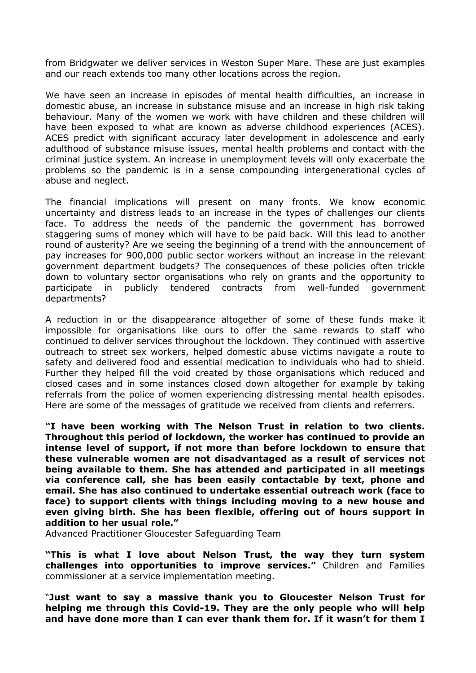from Bridgwater we deliver services in Weston Super Mare. These are just examples and our reach extends too many other locations across the region.

We have seen an increase in episodes of mental health difficulties, an increase in domestic abuse, an increase in substance misuse and an increase in high risk taking behaviour. Many of the women we work with have children and these children will have been exposed to what are known as adverse childhood experiences (ACES). ACES predict with significant accuracy later development in adolescence and early adulthood of substance misuse issues, mental health problems and contact with the criminal justice system. An increase in unemployment levels will only exacerbate the problems so the pandemic is in a sense compounding intergenerational cycles of abuse and neglect.

The financial implications will present on many fronts. We know economic uncertainty and distress leads to an increase in the types of challenges our clients face. To address the needs of the pandemic the government has borrowed staggering sums of money which will have to be paid back. Will this lead to another round of austerity? Are we seeing the beginning of a trend with the announcement of pay increases for 900,000 public sector workers without an increase in the relevant government department budgets? The consequences of these policies often trickle down to voluntary sector organisations who rely on grants and the opportunity to participate in publicly tendered contracts from well-funded government departments?

A reduction in or the disappearance altogether of some of these funds make it impossible for organisations like ours to offer the same rewards to staff who continued to deliver services throughout the lockdown. They continued with assertive outreach to street sex workers, helped domestic abuse victims navigate a route to safety and delivered food and essential medication to individuals who had to shield. Further they helped fill the void created by those organisations which reduced and closed cases and in some instances closed down altogether for example by taking referrals from the police of women experiencing distressing mental health episodes. Here are some of the messages of gratitude we received from clients and referrers.

**"I have been working with The Nelson Trust in relation to two clients. Throughout this period of lockdown, the worker has continued to provide an intense level of support, if not more than before lockdown to ensure that these vulnerable women are not disadvantaged as a result of services not being available to them. She has attended and participated in all meetings via conference call, she has been easily contactable by text, phone and email. She has also continued to undertake essential outreach work (face to face) to support clients with things including moving to a new house and even giving birth. She has been flexible, offering out of hours support in addition to her usual role."**

Advanced Practitioner Gloucester Safeguarding Team

**"This is what I love about Nelson Trust, the way they turn system challenges into opportunities to improve services."** Children and Families commissioner at a service implementation meeting.

"**Just want to say a massive thank you to Gloucester Nelson Trust for helping me through this Covid-19. They are the only people who will help and have done more than I can ever thank them for. If it wasn't for them I**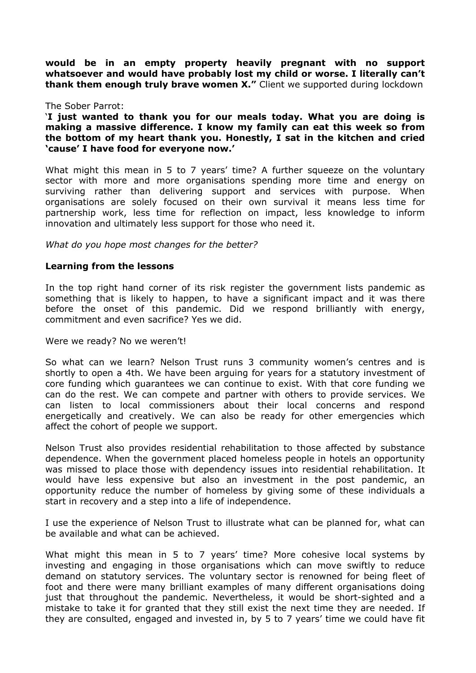**would be in an empty property heavily pregnant with no support whatsoever and would have probably lost my child or worse. I literally can't thank them enough truly brave women X."** Client we supported during lockdown

#### The Sober Parrot:

'**I just wanted to thank you for our meals today. What you are doing is making a massive difference. I know my family can eat this week so from the bottom of my heart thank you. Honestly, I sat in the kitchen and cried 'cause' I have food for everyone now.'**

What might this mean in 5 to 7 years' time? A further squeeze on the voluntary sector with more and more organisations spending more time and energy on surviving rather than delivering support and services with purpose. When organisations are solely focused on their own survival it means less time for partnership work, less time for reflection on impact, less knowledge to inform innovation and ultimately less support for those who need it.

*What do you hope most changes for the better?*

### **Learning from the lessons**

In the top right hand corner of its risk register the government lists pandemic as something that is likely to happen, to have a significant impact and it was there before the onset of this pandemic. Did we respond brilliantly with energy, commitment and even sacrifice? Yes we did.

Were we ready? No we weren't!

So what can we learn? Nelson Trust runs 3 community women's centres and is shortly to open a 4th. We have been arguing for years for a statutory investment of core funding which guarantees we can continue to exist. With that core funding we can do the rest. We can compete and partner with others to provide services. We can listen to local commissioners about their local concerns and respond energetically and creatively. We can also be ready for other emergencies which affect the cohort of people we support.

Nelson Trust also provides residential rehabilitation to those affected by substance dependence. When the government placed homeless people in hotels an opportunity was missed to place those with dependency issues into residential rehabilitation. It would have less expensive but also an investment in the post pandemic, an opportunity reduce the number of homeless by giving some of these individuals a start in recovery and a step into a life of independence.

I use the experience of Nelson Trust to illustrate what can be planned for, what can be available and what can be achieved.

What might this mean in 5 to 7 years' time? More cohesive local systems by investing and engaging in those organisations which can move swiftly to reduce demand on statutory services. The voluntary sector is renowned for being fleet of foot and there were many brilliant examples of many different organisations doing just that throughout the pandemic. Nevertheless, it would be short-sighted and a mistake to take it for granted that they still exist the next time they are needed. If they are consulted, engaged and invested in, by 5 to 7 years' time we could have fit